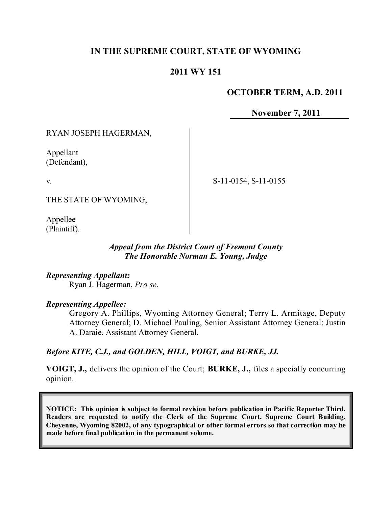# **IN THE SUPREME COURT, STATE OF WYOMING**

## **2011 WY 151**

## **OCTOBER TERM, A.D. 2011**

**November 7, 2011**

RYAN JOSEPH HAGERMAN,

Appellant (Defendant),

v.

THE STATE OF WYOMING,

Appellee (Plaintiff).

> *Appeal from the District Court of Fremont County The Honorable Norman E. Young, Judge*

*Representing Appellant:* Ryan J. Hagerman, *Pro se*.

*Representing Appellee:*

Gregory A. Phillips, Wyoming Attorney General; Terry L. Armitage, Deputy Attorney General; D. Michael Pauling, Senior Assistant Attorney General; Justin A. Daraie, Assistant Attorney General.

## *Before KITE, C.J., and GOLDEN, HILL, VOIGT, and BURKE, JJ.*

**VOIGT, J.,** delivers the opinion of the Court; **BURKE, J.,** files a specially concurring opinion.

**NOTICE: This opinion is subject to formal revision before publication in Pacific Reporter Third. Readers are requested to notify the Clerk of the Supreme Court, Supreme Court Building, Cheyenne, Wyoming 82002, of any typographical or other formal errors so that correction may be made before final publication in the permanent volume.**

S-11-0154, S-11-0155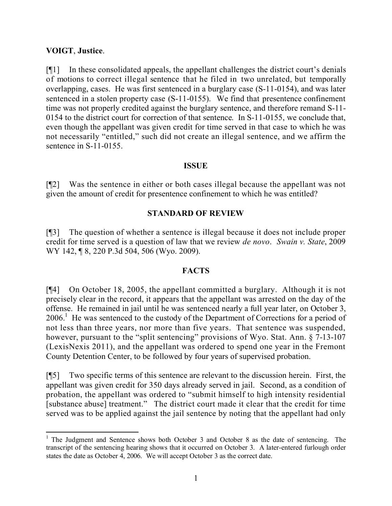### **VOIGT**, **Justice**.

[¶1] In these consolidated appeals, the appellant challenges the district court's denials of motions to correct illegal sentence that he filed in two unrelated, but temporally overlapping, cases. He was first sentenced in a burglary case (S-11-0154), and was later sentenced in a stolen property case (S-11-0155). We find that presentence confinement time was not properly credited against the burglary sentence, and therefore remand S-11- 0154 to the district court for correction of that sentence. In S-11-0155, we conclude that, even though the appellant was given credit for time served in that case to which he was not necessarily "entitled," such did not create an illegal sentence, and we affirm the sentence in S-11-0155.

#### **ISSUE**

[¶2] Was the sentence in either or both cases illegal because the appellant was not given the amount of credit for presentence confinement to which he was entitled?

## **STANDARD OF REVIEW**

[¶3] The question of whether a sentence is illegal because it does not include proper credit for time served is a question of law that we review *de novo*. *Swain v. State*, 2009 WY 142, ¶ 8, 220 P.3d 504, 506 (Wyo. 2009).

## **FACTS**

[¶4] On October 18, 2005, the appellant committed a burglary. Although it is not precisely clear in the record, it appears that the appellant was arrested on the day of the offense. He remained in jail until he was sentenced nearly a full year later, on October 3,  $2006<sup>1</sup>$  He was sentenced to the custody of the Department of Corrections for a period of not less than three years, nor more than five years. That sentence was suspended, however, pursuant to the "split sentencing" provisions of Wyo. Stat. Ann. § 7-13-107 (LexisNexis 2011), and the appellant was ordered to spend one year in the Fremont County Detention Center, to be followed by four years of supervised probation.

[¶5] Two specific terms of this sentence are relevant to the discussion herein. First, the appellant was given credit for 350 days already served in jail. Second, as a condition of probation, the appellant was ordered to "submit himself to high intensity residential [substance abuse] treatment." The district court made it clear that the credit for time served was to be applied against the jail sentence by noting that the appellant had only

 <sup>1</sup> The Judgment and Sentence shows both October 3 and October 8 as the date of sentencing. The transcript of the sentencing hearing shows that it occurred on October 3. A later-entered furlough order states the date as October 4, 2006. We will accept October 3 as the correct date.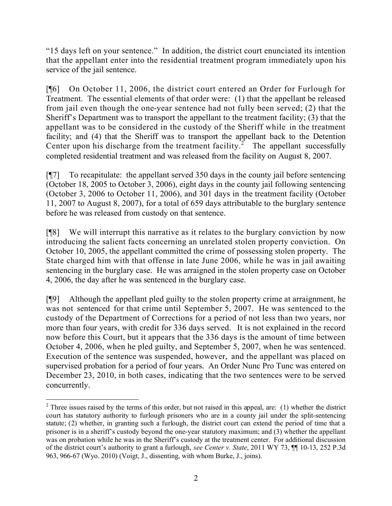"15 days left on your sentence." In addition, the district court enunciated its intention that the appellant enter into the residential treatment program immediately upon his service of the jail sentence.

[¶6] On October 11, 2006, the district court entered an Order for Furlough for Treatment. The essential elements of that order were: (1) that the appellant be released from jail even though the one-year sentence had not fully been served; (2) that the Sheriff's Department was to transport the appellant to the treatment facility; (3) that the appellant was to be considered in the custody of the Sheriff while in the treatment facility; and (4) that the Sheriff was to transport the appellant back to the Detention Center upon his discharge from the treatment facility.<sup>2</sup> The appellant successfully completed residential treatment and was released from the facility on August 8, 2007.

[¶7] To recapitulate: the appellant served 350 days in the county jail before sentencing (October 18, 2005 to October 3, 2006), eight days in the county jail following sentencing (October 3, 2006 to October 11, 2006), and 301 days in the treatment facility (October 11, 2007 to August 8, 2007), for a total of 659 days attributable to the burglary sentence before he was released from custody on that sentence.

[¶8] We will interrupt this narrative as it relates to the burglary conviction by now introducing the salient facts concerning an unrelated stolen property conviction. On October 10, 2005, the appellant committed the crime of possessing stolen property. The State charged him with that offense in late June 2006, while he was in jail awaiting sentencing in the burglary case. He was arraigned in the stolen property case on October 4, 2006, the day after he was sentenced in the burglary case.

[¶9] Although the appellant pled guilty to the stolen property crime at arraignment, he was not sentenced for that crime until September 5, 2007. He was sentenced to the custody of the Department of Corrections for a period of not less than two years, nor more than four years, with credit for 336 days served. It is not explained in the record now before this Court, but it appears that the 336 days is the amount of time between October 4, 2006, when he pled guilty, and September 5, 2007, when he was sentenced. Execution of the sentence was suspended, however, and the appellant was placed on supervised probation for a period of four years. An Order Nunc Pro Tunc was entered on December 23, 2010, in both cases, indicating that the two sentences were to be served concurrently.

<sup>&</sup>lt;sup>2</sup> Three issues raised by the terms of this order, but not raised in this appeal, are: (1) whether the district court has statutory authority to furlough prisoners who are in a county jail under the split-sentencing statute; (2) whether, in granting such a furlough, the district court can extend the period of time that a prisoner is in a sheriff's custody beyond the one-year statutory maximum; and (3) whether the appellant was on probation while he was in the Sheriff's custody at the treatment center. For additional discussion of the district court's authority to grant a furlough, *see Center v. State*, 2011 WY 73, ¶¶ 10-13, 252 P.3d 963, 966-67 (Wyo. 2010) (Voigt, J., dissenting, with whom Burke, J., joins).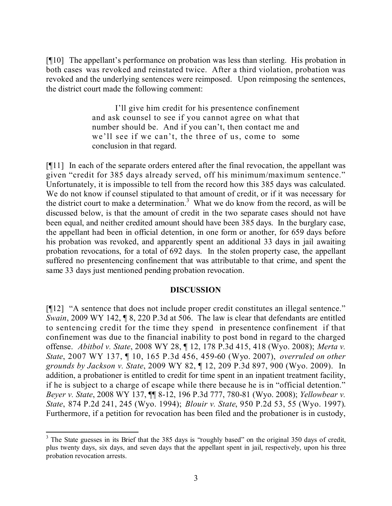[¶10] The appellant's performance on probation was less than sterling. His probation in both cases was revoked and reinstated twice. After a third violation, probation was revoked and the underlying sentences were reimposed. Upon reimposing the sentences, the district court made the following comment:

> I'll give him credit for his presentence confinement and ask counsel to see if you cannot agree on what that number should be. And if you can't, then contact me and we'll see if we can't, the three of us, come to some conclusion in that regard.

[¶11] In each of the separate orders entered after the final revocation, the appellant was given "credit for 385 days already served, off his minimum/maximum sentence." Unfortunately, it is impossible to tell from the record how this 385 days was calculated. We do not know if counsel stipulated to that amount of credit, or if it was necessary for the district court to make a determination.<sup>3</sup> What we do know from the record, as will be discussed below, is that the amount of credit in the two separate cases should not have been equal, and neither credited amount should have been 385 days. In the burglary case, the appellant had been in official detention, in one form or another, for 659 days before his probation was revoked, and apparently spent an additional 33 days in jail awaiting probation revocations, for a total of 692 days. In the stolen property case, the appellant suffered no presentencing confinement that was attributable to that crime, and spent the same 33 days just mentioned pending probation revocation.

## **DISCUSSION**

[¶12] "A sentence that does not include proper credit constitutes an illegal sentence." *Swain*, 2009 WY 142, ¶ 8, 220 P.3d at 506. The law is clear that defendants are entitled to sentencing credit for the time they spend in presentence confinement if that confinement was due to the financial inability to post bond in regard to the charged offense. *Abitbol v. State*, 2008 WY 28, ¶ 12, 178 P.3d 415, 418 (Wyo. 2008); *Merta v. State*, 2007 WY 137, ¶ 10, 165 P.3d 456, 459-60 (Wyo. 2007), *overruled on other grounds by Jackson v. State*, 2009 WY 82, ¶ 12, 209 P.3d 897, 900 (Wyo. 2009). In addition, a probationer is entitled to credit for time spent in an inpatient treatment facility, if he is subject to a charge of escape while there because he is in "official detention." *Beyer v. State*, 2008 WY 137, ¶¶ 8-12, 196 P.3d 777, 780-81 (Wyo. 2008); *Yellowbear v. State*, 874 P.2d 241, 245 (Wyo. 1994); *Blouir v. State*, 950 P.2d 53, 55 (Wyo. 1997). Furthermore, if a petition for revocation has been filed and the probationer is in custody,

 <sup>3</sup> The State guesses in its Brief that the 385 days is "roughly based" on the original 350 days of credit, plus twenty days, six days, and seven days that the appellant spent in jail, respectively, upon his three probation revocation arrests.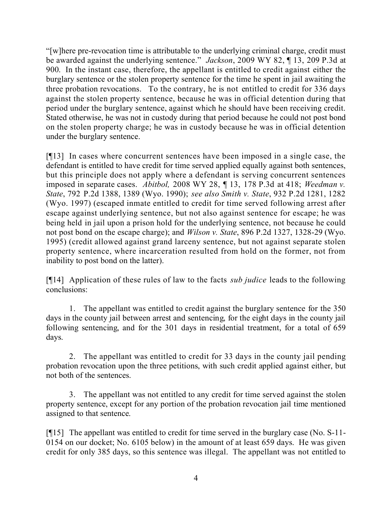"[w]here pre-revocation time is attributable to the underlying criminal charge, credit must be awarded against the underlying sentence." *Jackson*, 2009 WY 82, ¶ 13, 209 P.3d at 900. In the instant case, therefore, the appellant is entitled to credit against either the burglary sentence or the stolen property sentence for the time he spent in jail awaiting the three probation revocations. To the contrary, he is not entitled to credit for 336 days against the stolen property sentence, because he was in official detention during that period under the burglary sentence, against which he should have been receiving credit. Stated otherwise, he was not in custody during that period because he could not post bond on the stolen property charge; he was in custody because he was in official detention under the burglary sentence.

[¶13] In cases where concurrent sentences have been imposed in a single case, the defendant is entitled to have credit for time served applied equally against both sentences, but this principle does not apply where a defendant is serving concurrent sentences imposed in separate cases. *Abitbol,* 2008 WY 28, ¶ 13, 178 P.3d at 418; *Weedman v. State*, 792 P.2d 1388, 1389 (Wyo. 1990); *see also Smith v. State*, 932 P.2d 1281, 1282 (Wyo. 1997) (escaped inmate entitled to credit for time served following arrest after escape against underlying sentence, but not also against sentence for escape; he was being held in jail upon a prison hold for the underlying sentence, not because he could not post bond on the escape charge); and *Wilson v. State*, 896 P.2d 1327, 1328-29 (Wyo. 1995) (credit allowed against grand larceny sentence, but not against separate stolen property sentence, where incarceration resulted from hold on the former, not from inability to post bond on the latter).

[¶14] Application of these rules of law to the facts *sub judice* leads to the following conclusions:

1. The appellant was entitled to credit against the burglary sentence for the 350 days in the county jail between arrest and sentencing, for the eight days in the county jail following sentencing, and for the 301 days in residential treatment, for a total of 659 days.

2. The appellant was entitled to credit for 33 days in the county jail pending probation revocation upon the three petitions, with such credit applied against either, but not both of the sentences.

3. The appellant was not entitled to any credit for time served against the stolen property sentence, except for any portion of the probation revocation jail time mentioned assigned to that sentence.

[¶15] The appellant was entitled to credit for time served in the burglary case (No. S-11- 0154 on our docket; No. 6105 below) in the amount of at least 659 days. He was given credit for only 385 days, so this sentence was illegal. The appellant was not entitled to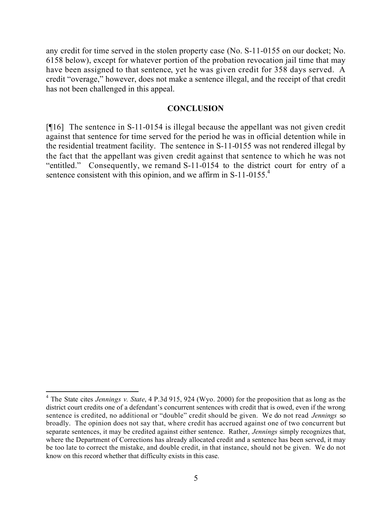any credit for time served in the stolen property case (No. S-11-0155 on our docket; No. 6158 below), except for whatever portion of the probation revocation jail time that may have been assigned to that sentence, yet he was given credit for 358 days served. A credit "overage," however, does not make a sentence illegal, and the receipt of that credit has not been challenged in this appeal.

#### **CONCLUSION**

[¶16] The sentence in S-11-0154 is illegal because the appellant was not given credit against that sentence for time served for the period he was in official detention while in the residential treatment facility. The sentence in S-11-0155 was not rendered illegal by the fact that the appellant was given credit against that sentence to which he was not "entitled." Consequently, we remand S-11-0154 to the district court for entry of a sentence consistent with this opinion, and we affirm in  $S-11-0155$ <sup>4</sup>

<sup>4</sup> The State cites *Jennings v. State*, 4 P.3d 915, 924 (Wyo. 2000) for the proposition that as long as the district court credits one of a defendant's concurrent sentences with credit that is owed, even if the wrong sentence is credited, no additional or "double" credit should be given. We do not read *Jennings* so broadly. The opinion does not say that, where credit has accrued against one of two concurrent but separate sentences, it may be credited against either sentence. Rather, *Jennings* simply recognizes that, where the Department of Corrections has already allocated credit and a sentence has been served, it may be too late to correct the mistake, and double credit, in that instance, should not be given. We do not know on this record whether that difficulty exists in this case.